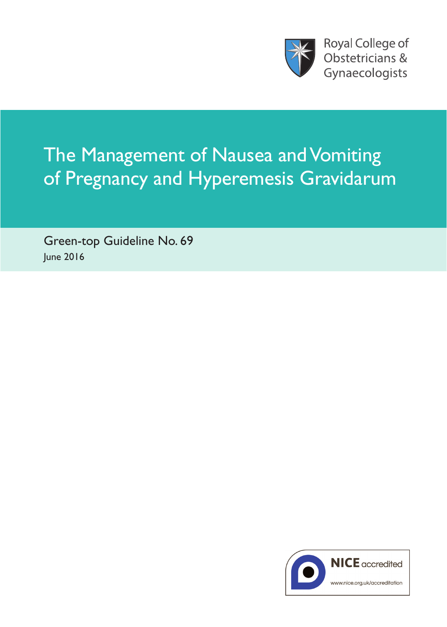

# The Management of Nausea and Vomiting of Pregnancy and Hyperemesis Gravidarum

Green-top Guideline No. 69 June 2016

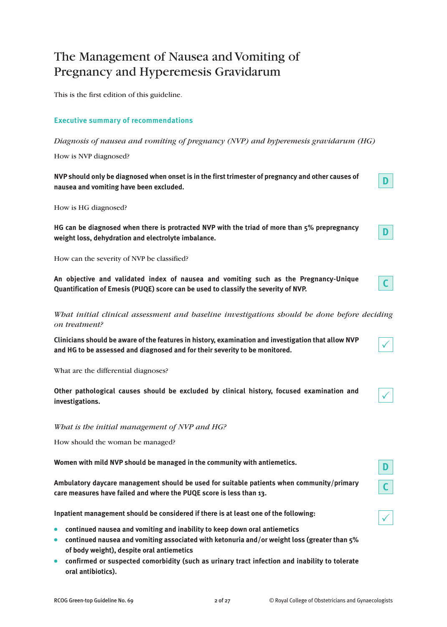# The Management of Nausea and Vomiting of Pregnancy and Hyperemesis Gravidarum

This is the first edition of this guideline.

# **Executive summary of recommendations**

*Diagnosis of nausea and vomiting of pregnancy (NVP) and hyperemesis gravidarum (HG)*

How is NVP diagnosed?

**NVP should only be diagnosed when onset is in the first trimester of pregnancy and other causes of nausea and vomiting have been excluded.**

How is HG diagnosed?

**HG can be diagnosed when there is protracted NVP with the triad of more than 5% prepregnancy weight loss, dehydration and electrolyte imbalance.**

How can the severity of NVP be classified?

**An objective and validated index of nausea and vomiting such as the Pregnancy-Unique Quantification of Emesis (PUQE) score can be used to classify the severity of NVP.**

*What initial clinical assessment and baseline investigations should be done before deciding on treatment?*

**Clinicians should be aware of the features in history, examination and investigation that allow NVP and HG to be assessed and diagnosed and for their severity to be monitored.**

What are the differential diagnoses?

**Other pathological causes should be excluded by clinical history, focused examination and investigations.**

*What is the initial management of NVP and HG?*

How should the woman be managed?

**Women with mild NVP should be managed in the community with antiemetics.**

**Ambulatory daycare management should be used for suitable patients when community/primary care measures have failed and where the PUQE score is less than 13.**

**Inpatient management should be considered if there is at least one of the following:**

- **continued nausea and vomiting and inability to keep down oral antiemetics**
- **continued nausea and vomiting associated with ketonuria and/or weight loss (greater than 5% of body weight), despite oral antiemetics**
- **confirmed or suspected comorbidity (such as urinary tract infection and inability to tolerate oral antibiotics).**

**D**

**D**

**C**

 $\checkmark$ 

 $\checkmark$ 

 $\checkmark$ 

**D**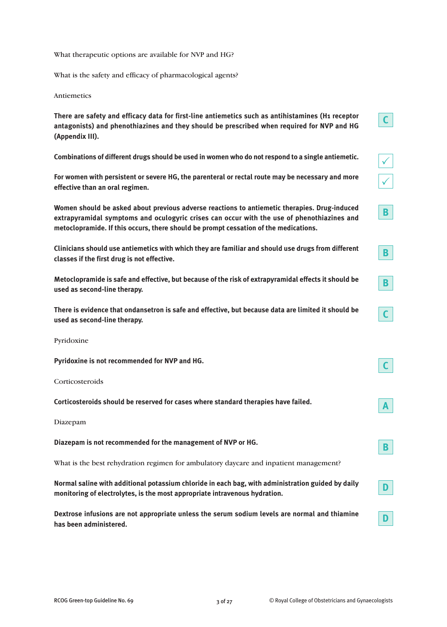What therapeutic options are available for NVP and HG?

What is the safety and efficacy of pharmacological agents?

Antiemetics

**There are safety and efficacy data for first-line antiemetics such as antihistamines (H1 receptor antagonists) and phenothiazines and they should be prescribed when required for NVP and HG (Appendix III).**

**Combinations of different drugs should be used in women who do not respond to a single antiemetic.**

**For women with persistent or severe HG, the parenteral or rectal route may be necessary and more effective than an oral regimen.**

**Women should be asked about previous adverse reactions to antiemetic therapies. Drug-induced extrapyramidal symptoms and oculogyric crises can occur with the use of phenothiazines and metoclopramide. If this occurs, there should be prompt cessation of the medications.**

**Clinicians should use antiemetics with which they are familiar and should use drugs from different classes if the first drug is not effective.**

**Metoclopramide is safe and effective, but because of the risk of extrapyramidal effects it should be used as second-line therapy.**

**There is evidence that ondansetron is safe and effective, but because data are limited it should be used as second-line therapy.**

Pyridoxine

| Pyridoxine is not recommended for NVP and HG.                                                     |    |
|---------------------------------------------------------------------------------------------------|----|
| Corticosteroids                                                                                   |    |
| Corticosteroids should be reserved for cases where standard therapies have failed.                | A  |
| Diazepam                                                                                          |    |
| Diazepam is not recommended for the management of NVP or HG.                                      | B  |
| What is the best rehydration regimen for ambulatory daycare and inpatient management?             |    |
| Normal saline with additional potassium chloride in each bag, with administration guided by daily | n. |

**Dextrose infusions are not appropriate unless the serum sodium levels are normal and thiamine has been administered.**

**monitoring of electrolytes, is the most appropriate intravenous hydration.**

 $\checkmark$ 

 $\checkmark$ 

**B**

**B**

**B**

**C**

**D**

**D**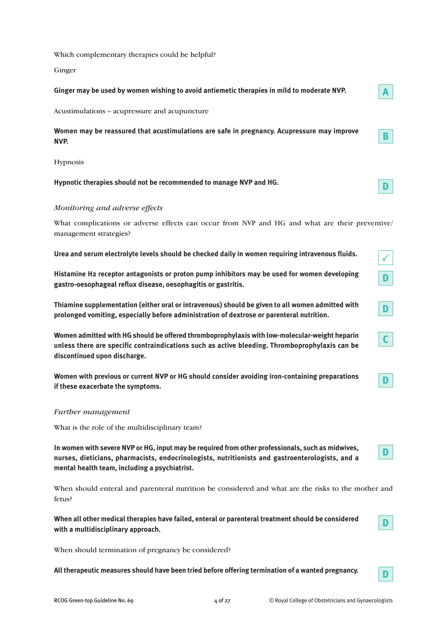Which complementary therapies could be helpful?

Ginger

| Ginger may be used by women wishing to avoid antiemetic therapies in mild to moderate NVP.         | A |
|----------------------------------------------------------------------------------------------------|---|
| Acustimulations – acupressure and acupuncture                                                      |   |
| Women may be reassured that acustimulations are safe in pregnancy. Acupressure may improve<br>NVP. |   |
| <b>Hypnosis</b>                                                                                    |   |
| Hypnotic therapies should not be recommended to manage NVP and HG.                                 |   |

# *Monitoring and adverse effects*

What complications or adverse effects can occur from NVP and HG and what are their preventive/ management strategies?

**Urea and serum electrolyte levels should be checked daily in women requiring intravenous fluids.**

**Histamine H2 receptor antagonists or proton pump inhibitors may be used for women developing gastro-oesophageal reflux disease, oesophagitis or gastritis.**

**Thiamine supplementation (either oral or intravenous) should be given to all women admitted with prolonged vomiting, especially before administration of dextrose or parenteral nutrition.**

**Women admitted with HG should be offered thromboprophylaxis with low-molecular-weight heparin unless there are specific contraindications such as active bleeding. Thromboprophylaxis can be discontinued upon discharge.**

**Women with previous or current NVP or HG should consider avoiding iron-containing preparations if these exacerbate the symptoms.**

# *Further management*

What is the role of the multidisciplinary team?

**In women with severe NVP or HG, input may be required from other professionals, such as midwives, nurses, dieticians, pharmacists, endocrinologists, nutritionists and gastroenterologists, and a mental health team, including a psychiatrist.**

When should enteral and parenteral nutrition be considered and what are the risks to the mother and fetus?

**When all other medical therapies have failed, enteral or parenteral treatment should be considered with a multidisciplinary approach.**

When should termination of pregnancy be considered?

**All therapeutic measures should have been tried before offering termination of a wanted pregnancy.**

**D**

**D**

 $\checkmark$ 

**D**

**D**

**C**

**D**

**D**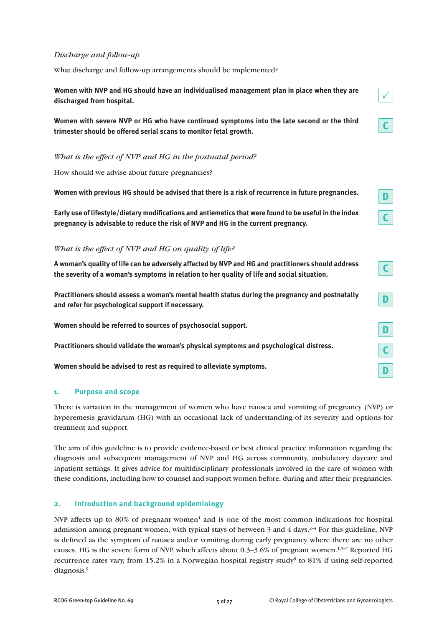## *Discharge and follow-up*

What discharge and follow-up arrangements should be implemented?

**Women with NVP and HG should have an individualised management plan in place when they are discharged from hospital.**



*What is the effect of NVP and HG in the postnatal period?*

How should we advise about future pregnancies?

**Women with previous HG should be advised that there is a risk of recurrence in future pregnancies.**

**Early use of lifestyle/dietary modifications and antiemetics that were found to be useful in the index pregnancy is advisable to reduce the risk of NVP and HG in the current pregnancy.**

#### *What is the effect of NVP and HG on quality of life?*

**A woman's quality of life can be adversely affected by NVP and HG and practitioners should address the severity of a woman's symptoms in relation to her quality of life and social situation.**

**Practitioners should assess a woman's mental health status during the pregnancy and postnatally and refer for psychological support if necessary.**

**Women should be referred to sources of psychosocial support.**

**Practitioners should validate the woman's physical symptoms and psychological distress.**

**Women should be advised to rest as required to alleviate symptoms.**

#### **1. Purpose and scope**

There is variation in the management of women who have nausea and vomiting of pregnancy (NVP) or hyperemesis gravidarum (HG) with an occasional lack of understanding of its severity and options for treatment and support.

The aim of this guideline is to provide evidence-based or best clinical practice information regarding the diagnosis and subsequent management of NVP and HG across community, ambulatory daycare and inpatient settings. It gives advice for multidisciplinary professionals involved in the care of women with these conditions, including how to counsel and support women before, during and after their pregnancies.

#### **2. Introduction and background epidemiology**

NVP affects up to 80% of pregnant women<sup>1</sup> and is one of the most common indications for hospital admission among pregnant women, with typical stays of between 3 and 4 days.<sup>2-4</sup> For this guideline, NVP is defined as the symptom of nausea and/or vomiting during early pregnancy where there are no other causes. HG is the severe form of NVP, which affects about 0.3–3.6% of pregnant women.<sup>1,5–7</sup> Reported HG recurrence rates vary, from 15.2% in a Norwegian hospital registry study8 to 81% if using self-reported diagnosis. 9

 $\checkmark$ 

**C**

**D**

**C**

**C**

**D**

**C**

**D**

**D**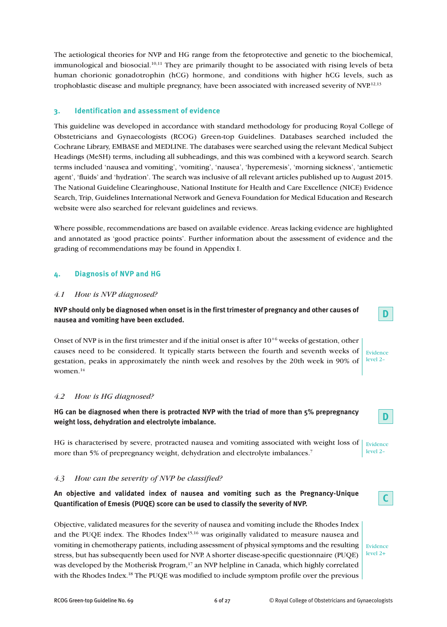The aetiological theories for NVP and HG range from the fetoprotective and genetic to the biochemical, immunological and biosocial.<sup>10,11</sup> They are primarily thought to be associated with rising levels of beta human chorionic gonadotrophin (hCG) hormone, and conditions with higher hCG levels, such as trophoblastic disease and multiple pregnancy, have been associated with increased severity of NVP.<sup>12,13</sup>

# **3. Identification and assessment of evidence**

This guideline was developed in accordance with standard methodology for producing Royal College of Obstetricians and Gynaecologists (RCOG) Green-top Guidelines. Databases searched included the Cochrane Library, EMBASE and MEDLINE. The databases were searched using the relevant Medical Subject Headings (MeSH) terms, including all subheadings, and this was combined with a keyword search. Search terms included 'nausea and vomiting', 'vomiting', 'nausea', 'hyperemesis', 'morning sickness', 'antiemetic agent', 'fluids' and 'hydration'. The search was inclusive of all relevant articles published up to August 2015. The National Guideline Clearinghouse, National Institute for Health and Care Excellence (NICE) Evidence Search, Trip, Guidelines International Network and Geneva Foundation for Medical Education and Research website were also searched for relevant guidelines and reviews.

Where possible, recommendations are based on available evidence. Areas lacking evidence are highlighted and annotated as 'good practice points'. Further information about the assessment of evidence and the grading of recommendations may be found in Appendix I.

# **4. Diagnosis of NVP and HG**

#### *4.1 How is NVP diagnosed?*

**NVP should only be diagnosed when onset is in the first trimester of pregnancy and other causes of nausea and vomiting have been excluded.**

Onset of NVP is in the first trimester and if the initial onset is after  $10^{+6}$  weeks of gestation, other causes need to be considered. It typically starts between the fourth and seventh weeks of gestation, peaks in approximately the ninth week and resolves by the 20th week in 90% of women. 14

#### *4.2 How is HG diagnosed?*

**HG can be diagnosed when there is protracted NVP with the triad of more than 5% prepregnancy weight loss, dehydration and electrolyte imbalance.**

HG is characterised by severe, protracted nausea and vomiting associated with weight loss of more than 5% of prepregnancy weight, dehydration and electrolyte imbalances.<sup>7</sup> Evidence level 2–

#### *4.3 How can the severity of NVP be classified?*

# **An objective and validated index of nausea and vomiting such as the Pregnancy-Unique Quantification of Emesis (PUQE) score can be used to classify the severity of NVP.**

Objective, validated measures for the severity of nausea and vomiting include the Rhodes Index and the PUQE index. The Rhodes Index<sup>15,16</sup> was originally validated to measure nausea and vomiting in chemotherapy patients, including assessment of physical symptoms and the resulting stress, but has subsequently been used for NVP. A shorter disease-specific questionnaire (PUQE) was developed by the Motherisk Program, <sup>17</sup> an NVP helpline in Canada, which highly correlated with the Rhodes Index. <sup>18</sup> The PUQE was modified to include symptom profile over the previous

Evidence level 2+

**D**

Evidence level 2–

**D**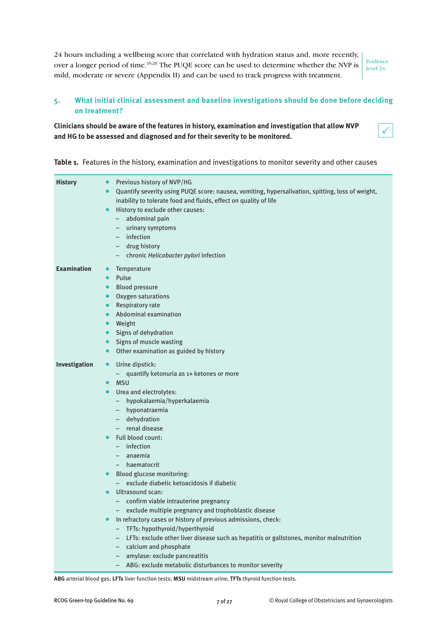24 hours including a wellbeing score that correlated with hydration status and, more recently, over a longer period of time.<sup>19,20</sup> The PUQE score can be used to determine whether the NVP is mild, moderate or severe (Appendix II) and can be used to track progress with treatment.

Evidence level 2+

# **5. What initial clinical assessment and baseline investigations should be done before deciding on treatment?**

# **Clinicians should be aware of the features in history, examination and investigation that allow NVP and HG to be assessed and diagnosed and for their severity to be monitored.**

 $\checkmark$ 

**Table 1.** Features in the history, examination and investigations to monitor severity and other causes

| <b>History</b>     | Previous history of NVP/HG<br>$\bullet$<br>Quantify severity using PUQE score: nausea, vomiting, hypersalivation, spitting, loss of weight,<br>inability to tolerate food and fluids, effect on quality of life<br>History to exclude other causes:<br>$\bullet$<br>abdominal pain<br>$-$<br>urinary symptoms<br>$-$<br>infection<br>$-$<br>drug history<br>$-$ .<br>- chronic Helicobacter pylori infection                                                                                                                                                                                                                                                                                                                                                                                                                                                              |
|--------------------|---------------------------------------------------------------------------------------------------------------------------------------------------------------------------------------------------------------------------------------------------------------------------------------------------------------------------------------------------------------------------------------------------------------------------------------------------------------------------------------------------------------------------------------------------------------------------------------------------------------------------------------------------------------------------------------------------------------------------------------------------------------------------------------------------------------------------------------------------------------------------|
| <b>Examination</b> | Temperature<br>$\bullet$<br>Pulse<br>$\bullet$<br><b>Blood pressure</b><br>$\bullet$<br>Oxygen saturations<br>Respiratory rate<br>$\bullet$<br>Abdominal examination<br>$\bullet$<br>Weight<br>Signs of dehydration<br>$\bullet$<br>Signs of muscle wasting<br>$\bullet$<br>Other examination as guided by history<br>$\bullet$                                                                                                                                                                                                                                                                                                                                                                                                                                                                                                                                           |
| Investigation      | Urine dipstick:<br>$\bullet$<br>- quantify ketonuria as 1+ ketones or more<br><b>MSU</b><br>Urea and electrolytes:<br>$\bullet$<br>hypokalaemia/hyperkalaemia<br>$-$<br>- hyponatraemia<br>dehydration<br>$-$<br>renal disease<br>Full blood count:<br>infection<br>$-$<br>anaemia<br>haematocrit<br>Blood glucose monitoring:<br>$\bullet$<br>- exclude diabetic ketoacidosis if diabetic<br>Ultrasound scan:<br>- confirm viable intrauterine pregnancy<br>exclude multiple pregnancy and trophoblastic disease<br>In refractory cases or history of previous admissions, check:<br>TFTs: hypothyroid/hyperthyroid<br>LFTs: exclude other liver disease such as hepatitis or gallstones, monitor malnutrition<br>$\overline{\phantom{m}}$<br>calcium and phosphate<br>$-$<br>amylase: exclude pancreatitis<br>- ABG: exclude metabolic disturbances to monitor severity |

**ABG** arterial blood gas; **LFTs** liver function tests; **MSU** midstream urine; **TFTs** thyroid function tests.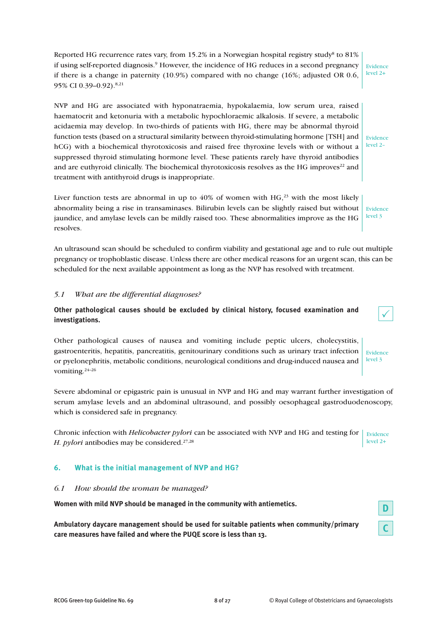Reported HG recurrence rates vary, from 15.2% in a Norwegian hospital registry study<sup>8</sup> to 81% if using self-reported diagnosis. <sup>9</sup> However, the incidence of HG reduces in a second pregnancy if there is a change in paternity (10.9%) compared with no change (16%; adjusted OR 0.6, 95% CI 0.39–0.92). 8,21 Evidence level 2+

NVP and HG are associated with hyponatraemia, hypokalaemia, low serum urea, raised haematocrit and ketonuria with a metabolic hypochloraemic alkalosis. If severe, a metabolic acidaemia may develop. In two-thirds of patients with HG, there may be abnormal thyroid function tests (based on a structural similarity between thyroid-stimulating hormone [TSH] and hCG) with a biochemical thyrotoxicosis and raised free thyroxine levels with or without a suppressed thyroid stimulating hormone level. These patients rarely have thyroid antibodies and are euthyroid clinically. The biochemical thyrotoxicosis resolves as the HG improves $22$  and treatment with antithyroid drugs is inappropriate.

Liver function tests are abnormal in up to  $40\%$  of women with HG,<sup>23</sup> with the most likely abnormality being a rise in transaminases. Bilirubin levels can be slightly raised but without jaundice, and amylase levels can be mildly raised too. These abnormalities improve as the HG resolves. Evidence level 3

An ultrasound scan should be scheduled to confirm viability and gestational age and to rule out multiple pregnancy or trophoblastic disease. Unless there are other medical reasons for an urgent scan, this can be scheduled for the next available appointment as long as the NVP has resolved with treatment.

# *5.1 What are the differential diagnoses?*

**Other pathological causes should be excluded by clinical history, focused examination and investigations.**

Other pathological causes of nausea and vomiting include peptic ulcers, cholecystitis, gastroenteritis, hepatitis, pancreatitis, genitourinary conditions such as urinary tract infection or pyelonephritis, metabolic conditions, neurological conditions and drug-induced nausea and vomiting.<sup>24-26</sup>

Severe abdominal or epigastric pain is unusual in NVP and HG and may warrant further investigation of serum amylase levels and an abdominal ultrasound, and possibly oesophageal gastroduodenoscopy, which is considered safe in pregnancy.

Chronic infection with *Helicobacter pylori* can be associated with NVP and HG and testing for Evidence *H. pylori* antibodies may be considered. 27,28 level 2+

# **6. What is the initial management of NVP and HG?**

#### *6.1 How should the woman be managed?*

**Women with mild NVP should be managed in the community with antiemetics.**

**Ambulatory daycare management should be used for suitable patients when community/primary care measures have failed and where the PUQE score is less than 13.**



Evidence level 2–

| Ω                       | ٧   |
|-------------------------|-----|
| e                       | ٠   |
|                         | M.  |
| ٠                       | ٠.  |
| ×                       | ×   |
| . .                     | ٧   |
|                         | e e |
| $\sim$<br>. .<br>٠<br>٠ |     |



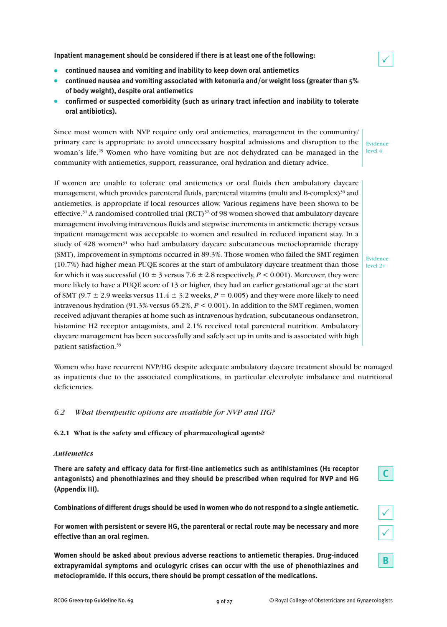**Inpatient management should be considered if there is at least one of the following:**

- **continued nausea and vomiting and inability to keep down oral antiemetics**
- **continued nausea and vomiting associated with ketonuria and/or weight loss (greater than 5% of body weight), despite oral antiemetics**
- **confirmed or suspected comorbidity (such as urinary tract infection and inability to tolerate oral antibiotics).**

Since most women with NVP require only oral antiemetics, management in the community/ primary care is appropriate to avoid unnecessary hospital admissions and disruption to the woman's life.<sup>29</sup> Women who have vomiting but are not dehydrated can be managed in the community with antiemetics, support, reassurance, oral hydration and dietary advice.

If women are unable to tolerate oral antiemetics or oral fluids then ambulatory daycare management, which provides parenteral fluids, parenteral vitamins (multi and B-complex) $30$  and antiemetics, is appropriate if local resources allow. Various regimens have been shown to be effective.<sup>31</sup> A randomised controlled trial (RCT)<sup>32</sup> of 98 women showed that ambulatory daycare management involving intravenous fluids and stepwise increments in antiemetic therapy versus inpatient management was acceptable to women and resulted in reduced inpatient stay. In a study of  $428$  women<sup>31</sup> who had ambulatory daycare subcutaneous metoclopramide therapy (SMT), improvement in symptoms occurred in 89.3%. Those women who failed the SMT regimen (10.7%) had higher mean PUQE scores at the start of ambulatory daycare treatment than those for which it was successful (10  $\pm$  3 versus 7.6  $\pm$  2.8 respectively, *P* < 0.001). Moreover, they were more likely to have a PUQE score of 13 or higher, they had an earlier gestational age at the start of SMT (9.7  $\pm$  2.9 weeks versus 11.4  $\pm$  3.2 weeks,  $P = 0.005$ ) and they were more likely to need intravenous hydration (91.3% versus 65.2%, *P* < 0.001). In addition to the SMT regimen, women received adjuvant therapies at home such as intravenous hydration, subcutaneous ondansetron, histamine H2 receptor antagonists, and 2.1% received total parenteral nutrition. Ambulatory daycare management has been successfully and safely set up in units and is associated with high patient satisfaction. 33

Women who have recurrent NVP/HG despite adequate ambulatory daycare treatment should be managed as inpatients due to the associated complications, in particular electrolyte imbalance and nutritional deficiencies.

# *6.2 What therapeutic options are available for NVP and HG?*

**6.2.1 What is the safety and efficacy of pharmacological agents?**

#### *Antiemetics*

**There are safety and efficacy data for first-line antiemetics such as antihistamines (H1 receptor antagonists) and phenothiazines and they should be prescribed when required for NVP and HG (Appendix III).**

**Combinations of different drugs should be used in women who do not respond to a single antiemetic.**

**For women with persistent or severe HG, the parenteral or rectal route may be necessary and more effective than an oral regimen.**

**Women should be asked about previous adverse reactions to antiemetic therapies. Drug-induced extrapyramidal symptoms and oculogyric crises can occur with the use of phenothiazines and metoclopramide. If this occurs, there should be prompt cessation of the medications.**



|--|

 $\checkmark$ 

**B**

Evidence level 4

 $\checkmark$ 

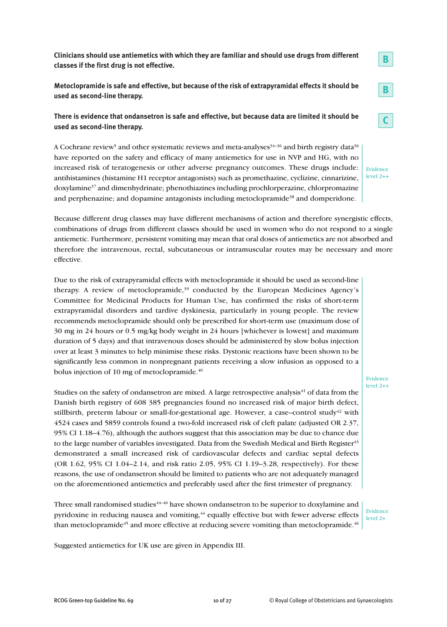**Clinicians should use antiemetics with which they are familiar and should use drugs from different classes if the first drug is not effective.**

**Metoclopramide is safe and effective, but because of the risk of extrapyramidal effects it should be used as second-line therapy.**

# **There is evidence that ondansetron is safe and effective, but because data are limited it should be used as second-line therapy.**

A Cochrane review<sup>5</sup> and other systematic reviews and meta-analyses<sup>34-36</sup> and birth registry data<sup>36</sup> have reported on the safety and efficacy of many antiemetics for use in NVP and HG, with no increased risk of teratogenesis or other adverse pregnancy outcomes. These drugs include: antihistamines (histamine H1 receptor antagonists) such as promethazine, cyclizine, cinnarizine, doxylamine37 and dimenhydrinate; phenothiazines including prochlorperazine, chlorpromazine and perphenazine; and dopamine antagonists including metoclopramide<sup>38</sup> and domperidone.

Evidence level 2++

**B**

**B**

**C**

Because different drug classes may have different mechanisms of action and therefore synergistic effects, combinations of drugs from different classes should be used in women who do not respond to a single antiemetic. Furthermore, persistent vomiting may mean that oral doses of antiemetics are not absorbed and therefore the intravenous, rectal, subcutaneous or intramuscular routes may be necessary and more effective.

Due to the risk of extrapyramidal effects with metoclopramide it should be used as second-line therapy. A review of metoclopramide, <sup>39</sup> conducted by the European Medicines Agency's Committee for Medicinal Products for Human Use, has confirmed the risks of short-term extrapyramidal disorders and tardive dyskinesia, particularly in young people. The review recommends metoclopramide should only be prescribed for short-term use (maximum dose of 30 mg in 24 hours or 0.5 mg/kg body weight in 24 hours [whichever is lowest] and maximum duration of 5 days) and that intravenous doses should be administered by slow bolus injection over at least 3 minutes to help minimise these risks. Dystonic reactions have been shown to be significantly less common in nonpregnant patients receiving a slow infusion as opposed to a bolus injection of 10 mg of metoclopramide.<sup>40</sup>

Studies on the safety of ondansetron are mixed. A large retrospective analysis $41$  of data from the Danish birth registry of 608 385 pregnancies found no increased risk of major birth defect, stillbirth, preterm labour or small-for-gestational age. However, a case–control study $42$  with 4524 cases and 5859 controls found a two-fold increased risk of cleft palate (adjusted OR 2.37, 95% CI 1.18–4.76), although the authors suggest that this association may be due to chance due to the large number of variables investigated. Data from the Swedish Medical and Birth Register<sup>43</sup> demonstrated a small increased risk of cardiovascular defects and cardiac septal defects (OR 1.62, 95% CI 1.04–2.14, and risk ratio 2.05, 95% CI 1.19–3.28, respectively). For these reasons, the use of ondansetron should be limited to patients who are not adequately managed on the aforementioned antiemetics and preferably used after the first trimester of pregnancy.

Three small randomised studies $44-46$  have shown ondansetron to be superior to doxylamine and pyridoxine in reducing nausea and vomiting,<sup>44</sup> equally effective but with fewer adverse effects than metoclopramide<sup>45</sup> and more effective at reducing severe vomiting than metoclopramide.<sup>46</sup>

Evidence level 2+

Evidence level 2++

Suggested antiemetics for UK use are given in Appendix III.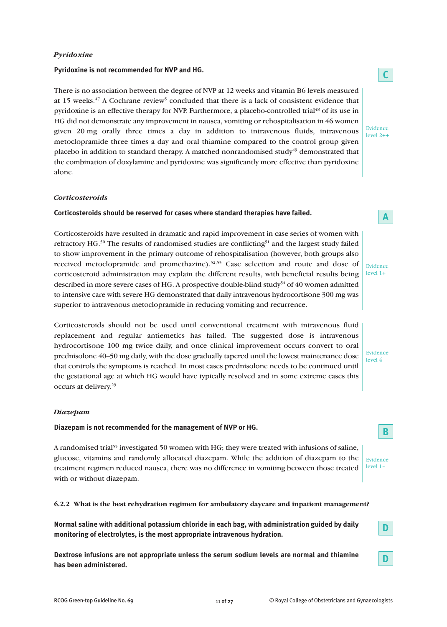# *Pyridoxine*

#### **Pyridoxine is not recommended for NVP and HG.**

There is no association between the degree of NVP at 12 weeks and vitamin B6 levels measured at 15 weeks.<sup>47</sup> A Cochrane review<sup>5</sup> concluded that there is a lack of consistent evidence that pyridoxine is an effective therapy for NVP. Furthermore, a placebo-controlled trial<sup>48</sup> of its use in HG did not demonstrate any improvement in nausea, vomiting or rehospitalisation in 46 women given 20 mg orally three times a day in addition to intravenous fluids, intravenous metoclopramide three times a day and oral thiamine compared to the control group given placebo in addition to standard therapy. A matched nonrandomised study<sup>49</sup> demonstrated that the combination of doxylamine and pyridoxine was significantly more effective than pyridoxine alone.

#### *Corticosteroids*

#### **Corticosteroids should be reserved for cases where standard therapies have failed.**

Corticosteroids have resulted in dramatic and rapid improvement in case series of women with refractory HG.<sup>50</sup> The results of randomised studies are conflicting<sup>51</sup> and the largest study failed to show improvement in the primary outcome of rehospitalisation (however, both groups also received metoclopramide and promethazine). 52,53 Case selection and route and dose of corticosteroid administration may explain the different results, with beneficial results being described in more severe cases of HG. A prospective double-blind study<sup>54</sup> of 40 women admitted to intensive care with severe HG demonstrated that daily intravenous hydrocortisone 300 mg was superior to intravenous metoclopramide in reducing vomiting and recurrence.

Corticosteroids should not be used until conventional treatment with intravenous fluid replacement and regular antiemetics has failed. The suggested dose is intravenous hydrocortisone 100 mg twice daily, and once clinical improvement occurs convert to oral prednisolone 40–50 mg daily, with the dose gradually tapered until the lowest maintenance dose that controls the symptoms is reached. In most cases prednisolone needs to be continued until the gestational age at which HG would have typically resolved and in some extreme cases this occurs at delivery. 29

#### *Diazepam*

#### **Diazepam is not recommended for the management of NVP or HG.**

A randomised trial <sup>55</sup> investigated 50 women with HG; they were treated with infusions of saline, glucose, vitamins and randomly allocated diazepam. While the addition of diazepam to the treatment regimen reduced nausea, there was no difference in vomiting between those treated with or without diazepam.

#### **6.2.2 What is the best rehydration regimen for ambulatory daycare and inpatient management?**

**Normal saline with additional potassium chloride in each bag, with administration guided by daily monitoring of electrolytes, is the most appropriate intravenous hydration.**

**Dextrose infusions are not appropriate unless the serum sodium levels are normal and thiamine has been administered.**

# **C**

Evidence level 2++

Evidence level 1+

**A**

#### Evidence level 4

Evidence level 1–

**B**

**D**

**D**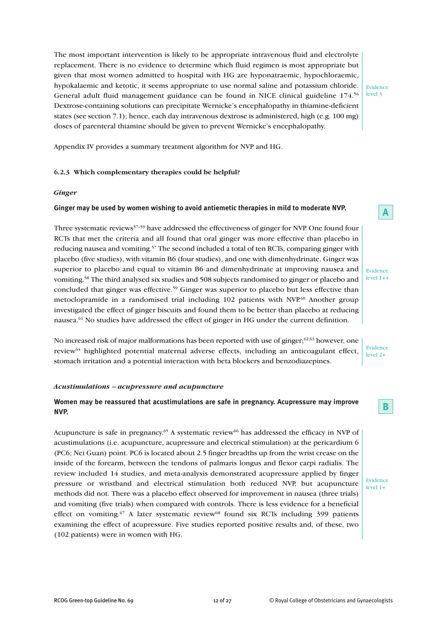The most important intervention is likely to be appropriate intravenous fluid and electrolyte replacement. There is no evidence to determine which fluid regimen is most appropriate but given that most women admitted to hospital with HG are hyponatraemic, hypochloraemic, hypokalaemic and ketotic, it seems appropriate to use normal saline and potassium chloride. General adult fluid management guidance can be found in NICE clinical guideline 174. 56 Dextrose-containing solutions can precipitate Wernicke's encephalopathy in thiamine-deficient states (see section 7.1); hence, each day intravenous dextrose is administered, high (e.g. 100 mg) doses of parenteral thiamine should be given to prevent Wernicke's encephalopathy.

Appendix IV provides a summary treatment algorithm for NVP and HG.

# **6.2.3 Which complementary therapies could be helpful?**

#### *Ginger*

#### **Ginger may be used by women wishing to avoid antiemetic therapies in mild to moderate NVP.**

Three systematic reviews<sup>57–59</sup> have addressed the effectiveness of ginger for NVP. One found four RCTs that met the criteria and all found that oral ginger was more effective than placebo in reducing nausea and vomiting.<sup>57</sup> The second included a total of ten RCTs, comparing ginger with placebo (five studies), with vitamin B6 (four studies), and one with dimenhydrinate. Ginger was superior to placebo and equal to vitamin B6 and dimenhydrinate at improving nausea and vomiting. <sup>58</sup> The third analysed six studies and 508 subjects randomised to ginger or placebo and concluded that ginger was effective. <sup>59</sup> Ginger was superior to placebo but less effective than metoclopramide in a randomised trial including 102 patients with NVP.<sup>60</sup> Another group investigated the effect of ginger biscuits and found them to be better than placebo at reducing nausea. <sup>61</sup> No studies have addressed the effect of ginger in HG under the current definition.

No increased risk of major malformations has been reported with use of ginger; $^{62,63}$  however, one review64 highlighted potential maternal adverse effects, including an anticoagulant effect, stomach irritation and a potential interaction with beta blockers and benzodiazepines.

#### *Acustimulations – acupressure and acupuncture*

# **Women may be reassured that acustimulations are safe in pregnancy. Acupressure may improve NVP.**

Acupuncture is safe in pregnancy.<sup>65</sup> A systematic review<sup>66</sup> has addressed the efficacy in NVP of acustimulations (i.e. acupuncture, acupressure and electrical stimulation) at the pericardium 6 (PC6; Nei Guan) point. PC6 is located about 2.5 finger breadths up from the wrist crease on the inside of the forearm, between the tendons of palmaris longus and flexor carpi radialis. The review included 14 studies, and meta-analysis demonstrated acupressure applied by finger pressure or wristband and electrical stimulation both reduced NVP, but acupuncture methods did not. There was a placebo effect observed for improvement in nausea (three trials) and vomiting (five trials) when compared with controls. There is less evidence for a beneficial effect on vomiting.<sup>67</sup> A later systematic review<sup>68</sup> found six RCTs including 399 patients examining the effect of acupressure. Five studies reported positive results and, of these, two (102 patients) were in women with HG.

Evidence level 3

Evidence level 1++

**A**

Evidence level 2+

**B**

Evidence level 1+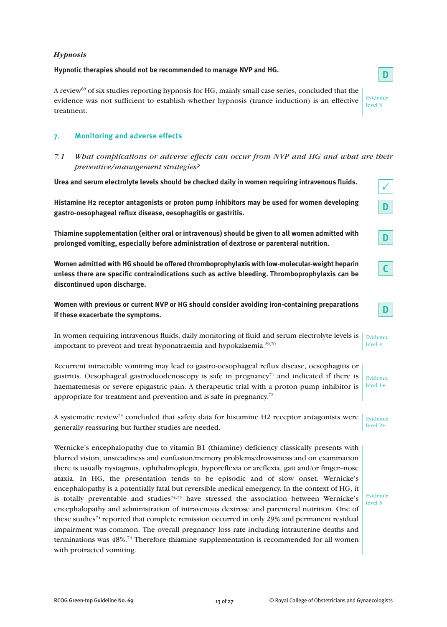## *Hypnosis*

# **Hypnotic therapies should not be recommended to manage NVP and HG.**

A review69 of six studies reporting hypnosis for HG, mainly small case series, concluded that the evidence was not sufficient to establish whether hypnosis (trance induction) is an effective treatment.

# **7. Monitoring and adverse effects**

*7.1 What complications or adverse effects can occur from NVP and HG and what are their preventive/management strategies?*

**Urea and serum electrolyte levels should be checked daily in women requiring intravenous fluids.**

**Histamine H2 receptor antagonists or proton pump inhibitors may be used for women developing gastro-oesophageal reflux disease, oesophagitis or gastritis.**

**Thiamine supplementation (either oral or intravenous) should be given to all women admitted with prolonged vomiting, especially before administration of dextrose or parenteral nutrition.**

**Women admitted with HG should be offered thromboprophylaxis with low-molecular-weight heparin unless there are specific contraindications such as active bleeding. Thromboprophylaxis can be discontinued upon discharge.**

**Women with previous or current NVP or HG should consider avoiding iron-containing preparations if these exacerbate the symptoms.**

In women requiring intravenous fluids, daily monitoring of fluid and serum electrolyte levels is important to prevent and treat hyponatraemia and hypokalaemia. 29,70

Recurrent intractable vomiting may lead to gastro-oesophageal reflux disease, oesophagitis or gastritis. Oesophageal gastroduodenoscopy is safe in pregnancy<sup> $71$ </sup> and indicated if there is haematemesis or severe epigastric pain. A therapeutic trial with a proton pump inhibitor is appropriate for treatment and prevention and is safe in pregnancy.<sup>72</sup>

A systematic review<sup>73</sup> concluded that safety data for histamine H2 receptor antagonists were generally reassuring but further studies are needed. Evidence

Wernicke's encephalopathy due to vitamin B1 (thiamine) deficiency classically presents with blurred vision, unsteadiness and confusion/memory problems/drowsiness and on examination there is usually nystagmus, ophthalmoplegia, hyporeflexia or areflexia, gait and/or finger–nose ataxia. In HG, the presentation tends to be episodic and of slow onset. Wernicke's encephalopathy is a potentially fatal but reversible medical emergency. In the context of HG, it is totally preventable and studies $74.75$  have stressed the association between Wernicke's encephalopathy and administration of intravenous dextrose and parenteral nutrition. One of these studies<sup>74</sup> reported that complete remission occurred in only 29% and permanent residual impairment was common. The overall pregnancy loss rate including intrauterine deaths and terminations was 48%. <sup>74</sup> Therefore thiamine supplementation is recommended for all women with protracted vomiting.

 $\checkmark$ 

**D**

**D**

**C**

Evidence level 3

**D**

**D**

Evidence level 4

Evidence level 1+

level 2+

Evidence level 3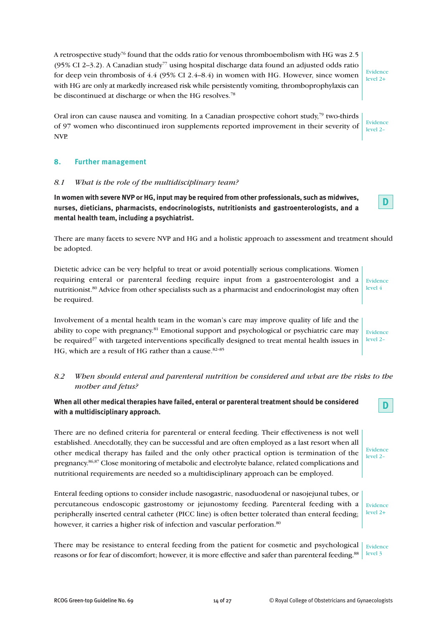A retrospective study76 found that the odds ratio for venous thromboembolism with HG was 2.5 (95% CI 2–3.2). A Canadian study<sup>77</sup> using hospital discharge data found an adjusted odds ratio for deep vein thrombosis of 4.4 (95% CI 2.4–8.4) in women with HG. However, since women with HG are only at markedly increased risk while persistently vomiting, thromboprophylaxis can be discontinued at discharge or when the HG resolves.<sup>78</sup>

Oral iron can cause nausea and vomiting. In a Canadian prospective cohort study,<sup>79</sup> two-thirds of 97 women who discontinued iron supplements reported improvement in their severity of NVP.

# **8. Further management**

#### *8.1 What is the role of the multidisciplinary team?*

**In women with severe NVP or HG, input may be required from other professionals, such as midwives, nurses, dieticians, pharmacists, endocrinologists, nutritionists and gastroenterologists, and a mental health team, including a psychiatrist.**

There are many facets to severe NVP and HG and a holistic approach to assessment and treatment should be adopted.

Dietetic advice can be very helpful to treat or avoid potentially serious complications. Women requiring enteral or parenteral feeding require input from a gastroenterologist and a nutritionist.<sup>80</sup> Advice from other specialists such as a pharmacist and endocrinologist may often be required.

Involvement of a mental health team in the woman's care may improve quality of life and the ability to cope with pregnancy.<sup>81</sup> Emotional support and psychological or psychiatric care may be required<sup>27</sup> with targeted interventions specifically designed to treat mental health issues in HG, which are a result of HG rather than a cause. 82–85

# *8.2 When should enteral and parenteral nutrition be considered and what are the risks to the mother and fetus?*

**When all other medical therapies have failed, enteral or parenteral treatment should be considered with a multidisciplinary approach.**

There are no defined criteria for parenteral or enteral feeding. Their effectiveness is not well established. Anecdotally, they can be successful and are often employed as a last resort when all other medical therapy has failed and the only other practical option is termination of the pregnancy.<sup>86,87</sup> Close monitoring of metabolic and electrolyte balance, related complications and nutritional requirements are needed so a multidisciplinary approach can be employed.

Enteral feeding options to consider include nasogastric, nasoduodenal or nasojejunal tubes, or percutaneous endoscopic gastrostomy or jejunostomy feeding. Parenteral feeding with a peripherally inserted central catheter (PICC line) is often better tolerated than enteral feeding; however, it carries a higher risk of infection and vascular perforation.<sup>80</sup>

There may be resistance to enteral feeding from the patient for cosmetic and psychological Evidence reasons or for fear of discomfort; however, it is more effective and safer than parenteral feeding.<sup>88</sup> level 3

# Evidence level 2+

Evidence level 2–

**D**

Evidence level 2–

Evidence level 2–

**D**

Evidence level 2+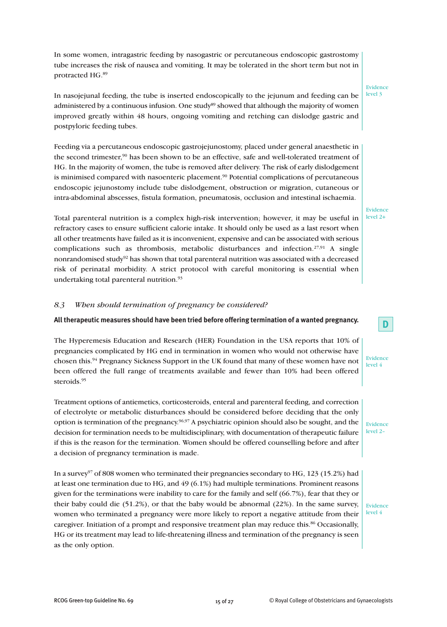In some women, intragastric feeding by nasogastric or percutaneous endoscopic gastrostomy tube increases the risk of nausea and vomiting. It may be tolerated in the short term but not in protracted HG. 89

In nasojejunal feeding, the tube is inserted endoscopically to the jejunum and feeding can be administered by a continuous infusion. One study<sup>89</sup> showed that although the majority of women improved greatly within 48 hours, ongoing vomiting and retching can dislodge gastric and postpyloric feeding tubes.

Feeding via a percutaneous endoscopic gastrojejunostomy, placed under general anaesthetic in the second trimester,<sup>90</sup> has been shown to be an effective, safe and well-tolerated treatment of HG. In the majority of women, the tube is removed after delivery. The risk of early dislodgement is minimised compared with nasoenteric placement.<sup>90</sup> Potential complications of percutaneous endoscopic jejunostomy include tube dislodgement, obstruction or migration, cutaneous or intra-abdominal abscesses, fistula formation, pneumatosis, occlusion and intestinal ischaemia.

Total parenteral nutrition is a complex high-risk intervention; however, it may be useful in refractory cases to ensure sufficient calorie intake. It should only be used as a last resort when all other treatments have failed as it is inconvenient, expensive and can be associated with serious complications such as thrombosis, metabolic disturbances and infection.<sup>27,91</sup> A single nonrandomised study<sup>92</sup> has shown that total parenteral nutrition was associated with a decreased risk of perinatal morbidity. A strict protocol with careful monitoring is essential when undertaking total parenteral nutrition. 93

#### *8.3 When should termination of pregnancy be considered?*

#### **All therapeutic measures should have been tried before offering termination of a wanted pregnancy.**

The Hyperemesis Education and Research (HER) Foundation in the USA reports that 10% of pregnancies complicated by HG end in termination in women who would not otherwise have chosen this.<sup>94</sup> Pregnancy Sickness Support in the UK found that many of these women have not been offered the full range of treatments available and fewer than 10% had been offered steroids. 95

Treatment options of antiemetics, corticosteroids, enteral and parenteral feeding, and correction of electrolyte or metabolic disturbances should be considered before deciding that the only option is termination of the pregnancy.<sup>96,97</sup> A psychiatric opinion should also be sought, and the decision for termination needs to be multidisciplinary, with documentation of therapeutic failure if this is the reason for the termination. Women should be offered counselling before and after a decision of pregnancy termination is made.

In a survey<sup>97</sup> of 808 women who terminated their pregnancies secondary to HG, 123 (15.2%) had at least one termination due to HG, and 49 (6.1%) had multiple terminations. Prominent reasons given for the terminations were inability to care for the family and self (66.7%), fear that they or their baby could die (51.2%), or that the baby would be abnormal (22%). In the same survey, women who terminated a pregnancy were more likely to report a negative attitude from their caregiver. Initiation of a prompt and responsive treatment plan may reduce this. <sup>86</sup> Occasionally, HG or its treatment may lead to life-threatening illness and termination of the pregnancy is seen as the only option.

Evidence level 3

Evidence level 2+

Evidence level 4

**D**

Evidence level 2–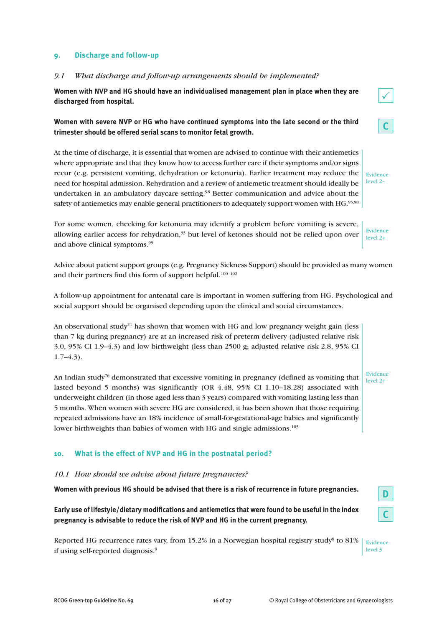# **9. Discharge and follow-up**

#### *9.1 What discharge and follow-up arrangements should be implemented?*

**Women with NVP and HG should have an individualised management plan in place when they are discharged from hospital.**

# **Women with severe NVP or HG who have continued symptoms into the late second or the third trimester should be offered serial scans to monitor fetal growth.**

At the time of discharge, it is essential that women are advised to continue with their antiemetics where appropriate and that they know how to access further care if their symptoms and/or signs recur (e.g. persistent vomiting, dehydration or ketonuria). Earlier treatment may reduce the need for hospital admission. Rehydration and a review of antiemetic treatment should ideally be undertaken in an ambulatory daycare setting. <sup>98</sup> Better communication and advice about the safety of antiemetics may enable general practitioners to adequately support women with HG. $^{95,98}$ 

For some women, checking for ketonuria may identify a problem before vomiting is severe, allowing earlier access for rehydration,<sup>33</sup> but level of ketones should not be relied upon over and above clinical symptoms. 99

Advice about patient support groups (e.g. Pregnancy Sickness Support) should be provided as many women and their partners find this form of support helpful. 100–102

A follow-up appointment for antenatal care is important in women suffering from HG. Psychological and social support should be organised depending upon the clinical and social circumstances.

An observational study<sup>21</sup> has shown that women with HG and low pregnancy weight gain (less than 7 kg during pregnancy) are at an increased risk of preterm delivery (adjusted relative risk 3.0, 95% CI 1.9–4.3) and low birthweight (less than 2500 g; adjusted relative risk 2.8, 95% CI  $1.7–4.3$ ).

An Indian study<sup>76</sup> demonstrated that excessive vomiting in pregnancy (defined as vomiting that lasted beyond 5 months) was significantly (OR 4.48, 95% CI 1.10–18.28) associated with underweight children (in those aged less than 3 years) compared with vomiting lasting less than 5 months. When women with severe HG are considered, it has been shown that those requiring repeated admissions have an 18% incidence of small-for-gestational-age babies and significantly lower birthweights than babies of women with HG and single admissions.<sup>103</sup>

# **10. What is the effect of NVP and HG in the postnatal period?**

#### *10.1 How should we advise about future pregnancies?*

**Women with previous HG should be advised that there is a risk of recurrence in future pregnancies.**

**Early use of lifestyle/dietary modifications and antiemetics that were found to be useful in the index pregnancy is advisable to reduce the risk of NVP and HG in the current pregnancy.**

Reported HG recurrence rates vary, from 15.2% in a Norwegian hospital registry study<sup>8</sup> to 81% if using self-reported diagnosis. 9 Evidence level 3



**C**

Evidence level 2–

Evidence level 2+

**D**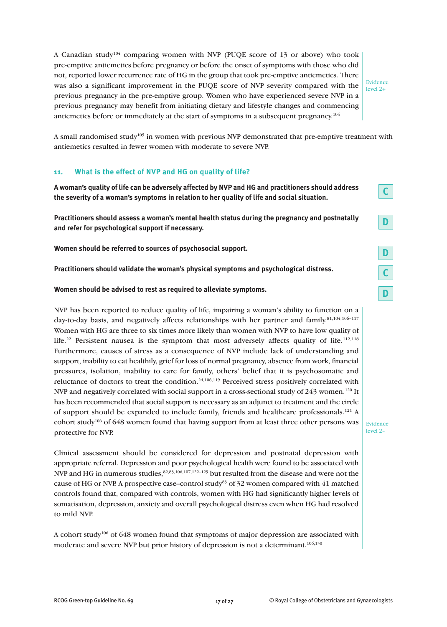A Canadian study104 comparing women with NVP (PUQE score of 13 or above) who took pre-emptive antiemetics before pregnancy or before the onset of symptoms with those who did not, reported lower recurrence rate of HG in the group that took pre-emptive antiemetics. There was also a significant improvement in the PUQE score of NVP severity compared with the previous pregnancy in the pre-emptive group. Women who have experienced severe NVP in a previous pregnancy may benefit from initiating dietary and lifestyle changes and commencing antiemetics before or immediately at the start of symptoms in a subsequent pregnancy.<sup>104</sup>

Evidence level 2+

A small randomised study<sup>105</sup> in women with previous NVP demonstrated that pre-emptive treatment with antiemetics resulted in fewer women with moderate to severe NVP.

## **11. What is the effect of NVP and HG on quality of life?**

**A woman's quality of life can be adversely affected by NVP and HG and practitioners should address the severity of a woman's symptoms in relation to her quality of life and social situation.**

**Practitioners should assess a woman's mental health status during the pregnancy and postnatally and refer for psychological support if necessary.**

**Women should be referred to sources of psychosocial support.**

**Practitioners should validate the woman's physical symptoms and psychological distress.**

#### **Women should be advised to rest as required to alleviate symptoms.**

NVP has been reported to reduce quality of life, impairing a woman's ability to function on a day-to-day basis, and negatively affects relationships with her partner and family. 81,104,106–117 Women with HG are three to six times more likely than women with NVP to have low quality of life.<sup>22</sup> Persistent nausea is the symptom that most adversely affects quality of life.<sup>112,118</sup> Furthermore, causes of stress as a consequence of NVP include lack of understanding and support, inability to eat healthily, grief for loss of normal pregnancy, absence from work, financial pressures, isolation, inability to care for family, others' belief that it is psychosomatic and reluctance of doctors to treat the condition.<sup>24,106,119</sup> Perceived stress positively correlated with NVP and negatively correlated with social support in a cross-sectional study of  $243$  women.<sup>120</sup> It has been recommended that social support is necessary as an adjunct to treatment and the circle of support should be expanded to include family, friends and healthcare professionals.<sup>121</sup> A cohort study106 of 648 women found that having support from at least three other persons was protective for NVP.

Clinical assessment should be considered for depression and postnatal depression with appropriate referral. Depression and poor psychological health were found to be associated with NVP and HG in numerous studies,  $82,83,106,107,122-129$  but resulted from the disease and were not the cause of HG or NVP. A prospective case–control study83 of 32 women compared with 41 matched controls found that, compared with controls, women with HG had significantly higher levels of somatisation, depression, anxiety and overall psychological distress even when HG had resolved to mild NVP.

A cohort study<sup>106</sup> of 648 women found that symptoms of major depression are associated with moderate and severe NVP but prior history of depression is not a determinant.<sup>106,130</sup>

| г |  |
|---|--|
|   |  |
| D |  |
| n |  |
|   |  |

**D**

**C**

Evidence level 2–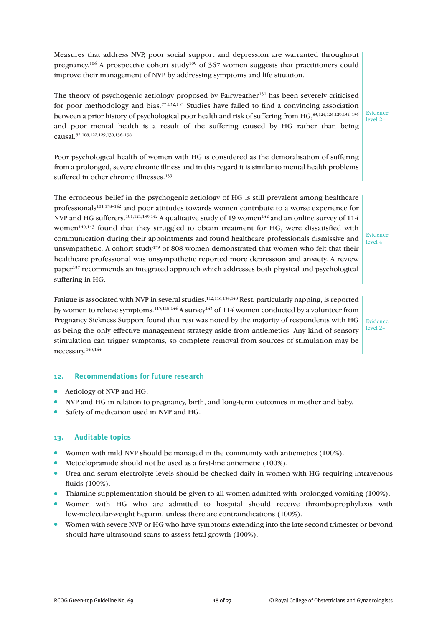Measures that address NVP, poor social support and depression are warranted throughout pregnancy.<sup>106</sup> A prospective cohort study<sup>109</sup> of 367 women suggests that practitioners could improve their management of NVP by addressing symptoms and life situation.

The theory of psychogenic aetiology proposed by Fairweather<sup>131</sup> has been severely criticised for poor methodology and bias.<sup>77,132,133</sup> Studies have failed to find a convincing association between a prior history of psychological poor health and risk of suffering from HG, 83,124,126,129,134–136 and poor mental health is a result of the suffering caused by HG rather than being causal. 82,108,122,129,130,136–138

Poor psychological health of women with HG is considered as the demoralisation of suffering from a prolonged, severe chronic illness and in this regard it is similar to mental health problems suffered in other chronic illnesses. 139

The erroneous belief in the psychogenic aetiology of HG is still prevalent among healthcare professionals<sup>101,138-142</sup> and poor attitudes towards women contribute to a worse experience for NVP and HG sufferers.  $^{101,121,139,142}$  A qualitative study of 19 women $^{142}$  and an online survey of 114 women<sup>140,143</sup> found that they struggled to obtain treatment for HG, were dissatisfied with communication during their appointments and found healthcare professionals dismissive and unsympathetic. A cohort study139 of 808 women demonstrated that women who felt that their healthcare professional was unsympathetic reported more depression and anxiety. A review paper137 recommends an integrated approach which addresses both physical and psychological suffering in HG.

Fatigue is associated with NVP in several studies.<sup>112,116,134,140</sup> Rest, particularly napping, is reported by women to relieve symptoms.  $^{115,118,144}$  A survey  $^{143}$  of  $114$  women conducted by a volunteer from Pregnancy Sickness Support found that rest was noted by the majority of respondents with HG as being the only effective management strategy aside from antiemetics. Any kind of sensory stimulation can trigger symptoms, so complete removal from sources of stimulation may be necessary. 143,144

Evidence level 2–

Evidence level 4

Evidence level 2+

#### **12. Recommendations for future research**

- Aetiology of NVP and HG.
- NVP and HG in relation to pregnancy, birth, and long-term outcomes in mother and baby.
- Safety of medication used in NVP and HG.

#### **13. Auditable topics**

- Women with mild NVP should be managed in the community with antiemetics (100%).
- Metoclopramide should not be used as a first-line antiemetic (100%).
- Urea and serum electrolyte levels should be checked daily in women with HG requiring intravenous fluids (100%).
- Thiamine supplementation should be given to all women admitted with prolonged vomiting (100%).
- Women with HG who are admitted to hospital should receive thromboprophylaxis with low-molecular-weight heparin, unless there are contraindications (100%).
- Women with severe NVP or HG who have symptoms extending into the late second trimester or beyond should have ultrasound scans to assess fetal growth (100%).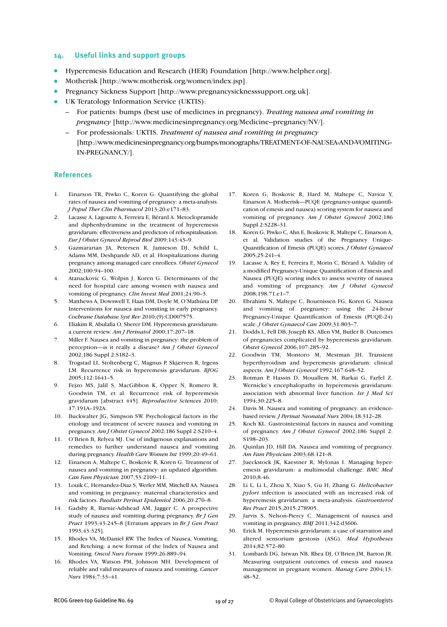#### **14. Useful links and support groups**

- Hyperemesis Education and Research (HER) Foundation [http://www.helpher.org].
- Motherisk [http://www.motherisk.org/women/index.jsp].
- Pregnancy Sickness Support [http://www.pregnancysicknesssupport.org.uk].
- UK Teratology Information Service (UKTIS):
	- For patients: bumps (best use of medicines in pregnancy). *Treating nausea and vomiting in pregnancy* [http://www.medicinesinpregnancy.org/Medicine--pregnancy/NV/].
	- For professionals: UKTIS. *Treatment of nausea and vomiting in pregnancy* [http://www.medicinesinpregnancy.org/bumps/monographs/TREATMENT-OF-NAUSEA-AND-VOMITING-IN-PREGNANCY/].

#### **References**

- 1. Einarson TR, Piwko C, Koren G. Quantifying the global rates of nausea and vomiting of pregnancy: a meta-analysis. *J Popul Ther Clin Pharmacol* 2013;20:e171–83.
- 2. Lacasse A, Lagoutte A, Ferreira E, Bérard A. Metoclopramide and diphenhydramine in the treatment of hyperemesis gravidarum: effectiveness and predictors of rehospitalisation. *Eur J Obstet Gynecol Reprod Biol* 2009;143:43–9.
- 3. Gazmararian JA, Petersen R, Jamieson DJ, Schild L, Adams MM, Deshpande AD, et al. Hospitalizations during pregnancy among managed care enrollees. *Obstet Gynecol* 2002;100:94–100.
- 4. Atanackovic G, Wolpin J, Koren G. Determinants of the need for hospital care among women with nausea and vomiting of pregnancy. *Clin Invest Med* 2001;24:90–3.
- 5. Matthews A, Dowswell T, Haas DM, Doyle M, O'Mathúna DP. Interventions for nausea and vomiting in early pregnancy. *Cochrane Database Syst Rev* 2010;(9):CD007575.
- 6. Eliakim R, Abulafia O, Sherer DM. Hyperemesis gravidarum: a current review. *Am J Perinatol* 2000;17:207–18.
- 7. Miller F. Nausea and vomiting in pregnancy: the problem of perception—is it really a disease? *Am J Obstet Gynecol* 2002;186 Suppl 2:S182–3.
- 8. Trogstad LI, Stoltenberg C, Magnus P, Skjærven R, Irgens LM. Recurrence risk in hyperemesis gravidarum. *BJOG* 2005;112:1641–5.
- 9. Fejzo MS, Jalil S, MacGibbon K, Opper N, Romero R, Goodwin TM, et al. Recurrence risk of hyperemesis gravidarum [abstract 445]. *Reproductive Sciences* 2010; 17:191A–192A.
- 10. Buckwalter JG, Simpson SW. Psychological factors in the etiology and treatment of severe nausea and vomiting in pregnancy. *Am J Obstet Gynecol* 2002;186 Suppl 2:S210–4.
- 11. O'Brien B, Relyea MJ. Use of indigenous explanations and remedies to further understand nausea and vomiting during pregnancy. *Health Care Women Int* 1999;20:49–61.
- 12. Einarson A, Maltepe C, Boskovic R, Koren G. Treatment of nausea and vomiting in pregnancy: an updated algorithm. *Can Fam Physician* 2007;53:2109–11.
- 13. Louik C, Hernandez-Diaz S, Werler MM, Mitchell AA. Nausea and vomiting in pregnancy: maternal characteristics and risk factors. *Paediatr Perinat Epidemiol* 2006;20:270–8.
- 14. Gadsby R, Barnie-Adshead AM, Jagger C. A prospective study of nausea and vomiting during pregnancy. *Br J Gen Pract* 1993;43:245–8 [Erratum appears in *Br J Gen Pract* 1993;43:325].
- 15. Rhodes VA, McDaniel RW. The Index of Nausea, Vomiting, and Retching: a new format of the lndex of Nausea and Vomiting. *Oncol Nurs Forum* 1999;26:889–94.
- 16. Rhodes VA, Watson PM, Johnson MH. Development of reliable and valid measures of nausea and vomiting. *Cancer Nurs* 1984;7:33–41.
- 17. Koren G, Boskovic R, Hard M, Maltepe C, Navioz Y, Einarson A. Motherisk—PUQE (pregnancy-unique quantification of emesis and nausea) scoring system for nausea and vomiting of pregnancy. *Am J Obstet Gynecol* 2002;186 Suppl 2:S228–31.
- 18. Koren G, Piwko C, Ahn E, Boskovic R, Maltepe C, Einarson A, et al. Validation studies of the Pregnancy Unique-Quantification of Emesis (PUQE) scores. *J Obstet Gynaecol* 2005;25:241–4.
- 19. Lacasse A, Rey E, Ferreira E, Morin C, Bérard A. Validity of a modified Pregnancy-Unique Quantification of Emesis and Nausea (PUQE) scoring index to assess severity of nausea and vomiting of pregnancy. *Am J Obstet Gynecol* 2008;198:71.e1–7.
- 20. Ebrahimi N, Maltepe C, Bournissen FG, Koren G. Nausea and vomiting of pregnancy: using the 24-hour Pregnancy-Unique Quantification of Emesis (PUQE-24) scale. *J Obstet Gynaecol Can* 2009;31:803–7.
- 21. Dodds L, Fell DB, Joseph KS, Allen VM, Butler B. Outcomes of pregnancies complicated by hyperemesis gravidarum. *Obstet Gynecol* 2006;107:285–92.
- 22. Goodwin TM, Montoro M, Mestman JH. Transient hyperthyroidism and hyperemesis gravidarum: clinical aspects. *Am J Obstet Gynecol* 1992;167:648–52.
- 23. Rotman P, Hassin D, Mouallem M, Barkai G, Farfel Z. Wernicke's encephalopathy in hyperemesis gravidarum: association with abnormal liver function. *Isr J Med Sci* 1994;30:225–8.
- 24. Davis M. Nausea and vomiting of pregnancy: an evidencebased review. *J Perinat Neonatal Nurs* 2004;18:312–28.
- 25. Koch KL. Gastrointestinal factors in nausea and vomiting of pregnancy. *Am J Obstet Gynecol* 2002;186 Suppl 2: S198–203.
- 26. Quinlan JD, Hill DA. Nausea and vomiting of pregnancy. *Am Fam Physician* 2003;68:121–8.
- 27. Jueckstock JK, Kaestner R, Mylonas I. Managing hyperemesis gravidarum: a multimodal challenge. *BMC Med* 2010;8:46.
- 28. Li L, Li L, Zhou X, Xiao S, Gu H, Zhang G. *Helicobacter pylori* infection is associated with an increased risk of hyperemesis gravidarum: a meta-analysis. *Gastroenterol Res Pract* 2015;2015:278905.
- 29. Jarvis S, Nelson-Piercy C. Management of nausea and vomiting in pregnancy. *BMJ* 2011;342:d3606.
- 30. Erick M. Hyperemesis gravidarum: a case of starvation and altered sensorium gestosis (ASG). *Med Hypotheses* 2014;82:572–80.
- 31. Lombardi DG, Istwan NB, Rhea DJ, O'Brien JM, Barton JR. Measuring outpatient outcomes of emesis and nausea management in pregnant women. *Manag Care* 2004;13: 48–52.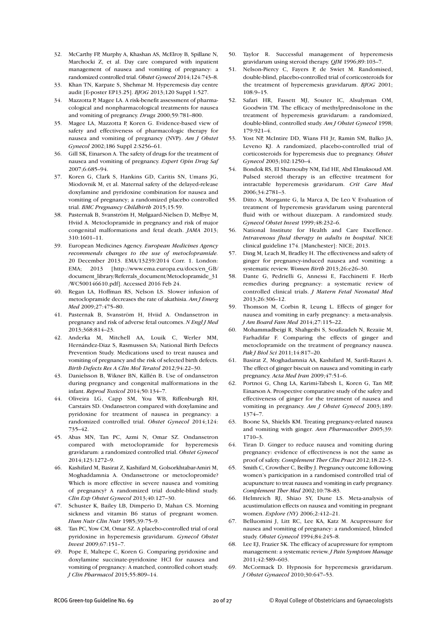- 32. McCarthy FP, Murphy A, Khashan AS, McElroy B, Spillane N, Marchocki Z, et al. Day care compared with inpatient management of nausea and vomiting of pregnancy: a randomized controlled trial. *Obstet Gynecol* 2014;124:743–8.
- 33. Khan TN, Karpate S, Shehmar M. Hyperemesis day centre audit [E-poster EP13.25]. *BJOG* 2013;120 Suppl 1:527.
- 34. Mazzotta P, Magee LA. A risk-benefit assessment of pharmacological and nonpharmacological treatments for nausea and vomiting of pregnancy. *Drugs* 2000;59:781–800.
- 35. Magee LA, Mazzotta P, Koren G. Evidence-based view of safety and effectiveness of pharmacologic therapy for nausea and vomiting of pregnancy (NVP). *Am J Obstet Gynecol* 2002;186 Suppl 2:S256–61.
- 36. Gill SK, Einarson A. The safety of drugs for the treatment of nausea and vomiting of pregnancy. *Expert Opin Drug Saf* 2007;6:685–94.
- 37. Koren G, Clark S, Hankins GD, Caritis SN, Umans JG, Miodovnik M, et al. Maternal safety of the delayed-release doxylamine and pyridoxine combination for nausea and vomiting of pregnancy; a randomized placebo controlled trial. *BMC Pregnancy Childbirth* 2015;15:59.
- 38. Pasternak B, Svanström H, Mølgaard-Nielsen D, Melbye M, Hviid A. Metoclopramide in pregnancy and risk of major congenital malformations and fetal death. *JAMA* 2013; 310:1601–11.
- 39. European Medicines Agency. *European Medicines Agency recommends changes to the use of metoclopramide.* 20 December 2013. EMA/13239/2014 Corr. 1. London: EMA; 2013 [http://www.ema.europa.eu/docs/en\_GB/ document\_library/Referrals\_document/Metoclopramide\_31 /WC500146610.pdf]. Accessed 2016 Feb 24.
- 40. Regan LA, Hoffman RS, Nelson LS. Slower infusion of metoclopramide decreases the rate of akathisia. *Am J Emerg Med* 2009;27:475–80.
- 41. Pasternak B, Svanström H, Hviid A. Ondansetron in pregnancy and risk of adverse fetal outcomes. *N Engl J Med* 2013;368:814–23.
- 42. Anderka M, Mitchell AA, Louik C, Werler MM, Hernández-Diaz S, Rasmussen SA; National Birth Defects Prevention Study. Medications used to treat nausea and vomiting of pregnancy and the risk of selected birth defects. *Birth Defects Res A Clin Mol Teratol* 2012;94:22–30.
- 43. Danielsson B, Wikner BN, Källén B. Use of ondansetron during pregnancy and congenital malformations in the infant. *Reprod Toxicol* 2014;50:134–7.
- 44. Oliveira LG, Capp SM, You WB, Riffenburgh RH, Carstairs SD. Ondansetron compared with doxylamine and pyridoxine for treatment of nausea in pregnancy: a randomized controlled trial. *Obstet Gynecol* 2014;124: 735–42.
- 45. Abas MN, Tan PC, Azmi N, Omar SZ. Ondansetron compared with metoclopramide for hyperemesis gravidarum: a randomized controlled trial. *Obstet Gynecol* 2014;123:1272–9.
- 46. Kashifard M, Basirat Z, Kashifard M, Golsorkhtabar-Amiri M, Moghaddamnia A. Ondansetrone or metoclopromide? Which is more effective in severe nausea and vomiting of pregnancy? A randomized trial double-blind study. *Clin Exp Obstet Gynecol* 2013;40:127–30.
- 47. Schuster K, Bailey LB, Dimperio D, Mahan CS. Morning sickness and vitamin B6 status of pregnant women. *Hum Nutr Clin Nutr* 1985;39:75–9.
- 48. Tan PC, Yow CM, Omar SZ. A placebo-controlled trial of oral pyridoxine in hyperemesis gravidarum. *Gynecol Obstet Invest* 2009;67:151–7.
- 49. Pope E, Maltepe C, Koren G. Comparing pyridoxine and doxylamine succinate-pyridoxine HCl for nausea and vomiting of pregnancy: A matched, controlled cohort study. *J Clin Pharmacol* 2015;55:809–14.
- 50. Taylor R. Successful management of hyperemesis gravidarum using steroid therapy. *QJM* 1996;89:103–7.
- 51. Nelson-Piercy C, Fayers P, de Swiet M. Randomised, double-blind, placebo-controlled trial of corticosteroids for the treatment of hyperemesis gravidarum. *BJOG* 2001; 108:9–15.
- 52. Safari HR, Fassett MJ, Souter IC, Alsulyman OM, Goodwin TM. The efficacy of methylprednisolone in the treatment of hyperemesis gravidarum: a randomized, double-blind, controlled study. *Am J Obstet Gynecol* 1998; 179:921–4.
- 53. Yost NP, McIntire DD, Wians FH Jr, Ramin SM, Balko JA, Leveno KJ. A randomized, placebo-controlled trial of corticosteroids for hyperemesis due to pregnancy. *Obstet Gynecol* 2003;102:1250–4.
- 54. Bondok RS, El Sharnouby NM, Eid HE, Abd Elmaksoud AM. Pulsed steroid therapy is an effective treatment for intractable hyperemesis gravidarum. *Crit Care Med* 2006;34:2781–3.
- 55. Ditto A, Morgante G, la Marca A, De Leo V. Evaluation of treatment of hyperemesis gravidarum using parenteral fluid with or without diazepam. A randomized study. *Gynecol Obstet Invest* 1999;48:232–6.
- 56. National Institute for Health and Care Excellence. *Intravenous fluid therapy in adults in hospital*. NICE clinical guideline 174. [Manchester]: NICE; 2013.
- 57. Ding M, Leach M, Bradley H. The effectiveness and safety of ginger for pregnancy-induced nausea and vomiting: a systematic review. *Women Birth* 2013;26:e26–30.
- 58. Dante G, Pedrielli G, Annessi E, Facchinetti F. Herb remedies during pregnancy: a systematic review of controlled clinical trials. *J Matern Fetal Neonatal Med* 2013;26:306–12.
- 59. Thomson M, Corbin R, Leung L. Effects of ginger for nausea and vomiting in early pregnancy: a meta-analysis. *J Am Board Fam Med* 2014;27:115–22.
- 60. Mohammadbeigi R, Shahgeibi S, Soufizadeh N, Rezaiie M, Farhadifar F. Comparing the effects of ginger and metoclopramide on the treatment of pregnancy nausea. *Pak J Biol Sci* 2011;14:817–20.
- 61. Basirat Z, Moghadamnia AA, Kashifard M, Sarifi-Razavi A. The effect of ginger biscuit on nausea and vomiting in early pregnancy. *Acta Med Iran* 2009;47:51–6.
- 62. Portnoi G, Chng LA, Karimi-Tabesh L, Koren G, Tan MP, Einarson A. Prospective comparative study of the safety and effectiveness of ginger for the treatment of nausea and vomiting in pregnancy. *Am J Obstet Gynecol* 2003;189: 1374–7.
- 63. Boone SA, Shields KM. Treating pregnancy-related nausea and vomiting with ginger. *Ann Pharmacother* 2005;39: 1710–3.
- 64. Tiran D. Ginger to reduce nausea and vomiting during pregnancy: evidence of effectiveness is not the same as proof of safety. *Complement Ther Clin Pract* 2012;18:22–5.
- 65. Smith C, Crowther C, Beilby J. Pregnancy outcome following women's participation in a randomised controlled trial of acupuncture to treat nausea and vomiting in early pregnancy. *Complement Ther Med* 2002;10:78–83.
- 66. Helmreich RJ, Shiao SY, Dune LS. Meta-analysis of acustimulation effects on nausea and vomiting in pregnant women. *Explore (NY)* 2006;2:412–21.
- 67. Belluomini J, Litt RC, Lee KA, Katz M. Acupressure for nausea and vomiting of pregnancy: a randomized, blinded study. *Obstet Gynecol* 1994;84:245–8.
- 68. Lee EJ, Frazier SK. The efficacy of acupressure for symptom management: a systematic review. *J Pain Symptom Manage* 2011;42:589–603.
- 69. McCormack D. Hypnosis for hyperemesis gravidarum. *J Obstet Gynaecol* 2010;30:647–53.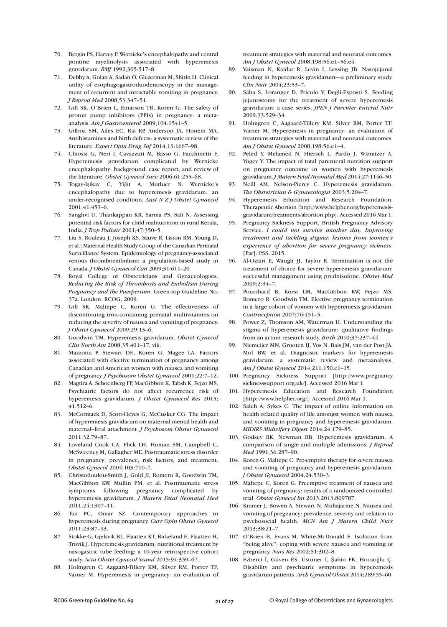- 70. Bergin PS, Harvey P. Wernicke's encephalopathy and central pontine myelinolysis associated with hyperemesis gravidarum. *BMJ* 1992;305:517–8.
- 71. Debby A, Golan A, Sadan O, Glezerman M, Shirin H. Clinical utility of esophagogastroduodenoscopy in the management of recurrent and intractable vomiting in pregnancy. *J Reprod Med* 2008;53:347–51.
- 72. Gill SK, O'Brien L, Einarson TR, Koren G. The safety of proton pump inhibitors (PPIs) in pregnancy: a metaanalysis. *Am J Gastroenterol* 2009;104:1541–5.
- 73. Gilboa SM, Ailes EC, Rai RP, Anderson JA, Honein MA. Antihistamines and birth defects: a systematic review of the literature. *Expert Opin Drug Saf* 2014;13:1667–98.
- 74. Chiossi G, Neri I, Cavazzuti M, Basso G, Facchinetti F. Hyperemesis gravidarum complicated by Wernicke encephalopathy: background, case report, and review of the literature. *Obstet Gynecol Surv* 2006;61:255–68.
- 75. Togay-Işikay C, Yiğit A, Mutluer N. Wernicke's encephalopathy due to hyperemesis gravidarum: an under-recognised condition. *Aust N Z J Obstet Gynaecol* 2001;41:453–6.
- 76. Sanghvi U, Thankappan KR, Sarma PS, Sali N. Assessing potential risk factors for child malnutrition in rural Kerala, India. *J Trop Pediatr* 2001;47:350–5.
- 77. Liu S, Rouleau J, Joseph KS, Sauve R, Liston RM, Young D, et al.; Maternal Health Study Group of the Canadian Perinatal Surveillance System. Epidemiology of pregnancy-associated venous thromboembolism: a population-based study in Canada. *J Obstet Gynaecol Can* 2009;31:611–20.
- 78. Royal College of Obstetricians and Gynaecologists. *Reducing the Risk of Thrombosis and Embolism During Pregnancy and the Puerperium*. Green-top Guideline No. 37a. London: RCOG; 2009.
- 79. Gill SK, Maltepe C, Koren G. The effectiveness of discontinuing iron-containing prenatal multivitamins on reducing the severity of nausea and vomiting of pregnancy. *J Obstet Gynaecol* 2009;29:13–6.
- 80. Goodwin TM. Hyperemesis gravidarum. *Obstet Gynecol Clin North Am* 2008;35:401–17, viii.
- 81. Mazzotta P, Stewart DE, Koren G, Magee LA. Factors associated with elective termination of pregnancy among Canadian and American women with nausea and vomiting of pregnancy. *J Psychosom Obstet Gynaecol* 2001;22:7–12.
- 82. Magtira A, Schoenberg FP, MacGibbon K, Tabsh K, Fejzo MS. Psychiatric factors do not affect recurrence risk of hyperemesis gravidarum. *J Obstet Gynaecol Res* 2015; 41:512–6.
- 83. McCormack D, Scott-Heyes G, McCusker CG. The impact of hyperemesis gravidarum on maternal mental health and maternal–fetal attachment. *J Psychosom Obstet Gynaecol* 2011;32:79–87.
- 84. Loveland Cook CA, Flick LH, Homan SM, Campbell C, McSweeney M, Gallagher ME. Posttraumatic stress disorder in pregnancy: prevalence, risk factors, and treatment. *Obstet Gynecol* 2004;103:710–7.
- 85. Christodoulou-Smith J, Gold JI, Romero R, Goodwin TM, MacGibbon KW, Mullin PM, et al. Posttraumatic stress symptoms following pregnancy complicated by hyperemesis gravidarum. *J Matern Fetal Neonatal Med* 2011;24:1307–11.
- 86. Tan PC, Omar SZ. Contemporary approaches to hyperemesis during pregnancy. *Curr Opin Obstet Gynecol* 2011;23:87–93.
- 87. Stokke G, Gjelsvik BL, Flaatten KT, Birkeland E, Flaatten H, Trovik J. Hyperemesis gravidarum, nutritional treatment by nasogastric tube feeding: a 10-year retrospective cohort study. *Acta Obstet Gynecol Scand* 2015;94:359–67.
- 88. Holmgren C, Aagaard-Tillery KM, Silver RM, Porter TF, Varner M. Hyperemesis in pregnancy: an evaluation of

treatment strategies with maternal and neonatal outcomes. *Am J Obstet Gynecol* 2008;198:56.e1–56.e4.

- 89. Vaisman N, Kaidar R, Levin I, Lessing JB. Nasojejunal feeding in hyperemesis gravidarum—a preliminary study. *Clin Nutr* 2004;23:53–7.
- 90. Saha S, Loranger D, Pricolo V, Degli-Esposti S. Feeding jejunostomy for the treatment of severe hyperemesis gravidarum: a case series. *JPEN J Parenter Enteral Nutr* 2009;33:529–34.
- 91. Holmgren C, Aagaard-Tillery KM, Silver RM, Porter TF, Varner M. Hyperemesis in pregnancy: an evaluation of treatment strategies with maternal and neonatal outcomes. *Am J Obstet Gynecol* 2008;198:56.e1–4.
- 92. Peled Y, Melamed N, Hiersch L, Pardo J, Wiznitzer A, Yogev Y. The impact of total parenteral nutrition support on pregnancy outcome in women with hyperemesis gravidarum. *J Matern Fetal Neonatal Med* 2014;27:1146–50.
- 93. Neill AM, Nelson-Piercy C. Hyperemesis gravidarum. *The Obstetrician & Gynaecologist* 2003;5:204–7.
- 94. Hyperemesis Education and Research Foundation. Therapeutic Abortion [http://www.helpher.org/hyperemesisgravidarum/treatments/abortion.php]. Accessed 2016 Mar 1.
- 95. Pregnancy Sickness Support, British Pregnancy Advisory Service. *I could not survive another day. Improving treatment and tackling stigma: lessons from women's experience of abortion for severe pregnancy sickness*. [Par]: PSS: 2015.
- 96. Al-Ozairi E, Waugh JJ, Taylor R. Termination is not the treatment of choice for severe hyperemesis gravidarum: successful management using prednisolone. *Obstet Med* 2009;2:34–7.
- 97. Poursharif B, Korst LM, MacGibbon KW, Fejzo MS, Romero R, Goodwin TM. Elective pregnancy termination in a large cohort of women with hyperemesis gravidarum. *Contraception* 2007;76:451–5.
- 98. Power Z, Thomson AM, Waterman H. Understanding the stigma of hyperemesis gravidarum: qualitative findings from an action research study. *Birth* 2010;37:237–44.
- 99. Niemeijer MN, Grooten IJ, Vos N, Bais JM, van der Post JA, Mol BW, et al. Diagnostic markers for hyperemesis gravidarum: a systematic review and metaanalysis. *Am J Obstet Gynecol* 2014;211:150.e1–15.
- 100. Pregnancy Sickness Support [http://www.pregnancy sicknesssupport.org.uk/]. Accessed 2016 Mar 1.
- 101. Hyperemesis Education and Research Foundation [http://www.helpher.org/]. Accessed 2016 Mar 1.
- 102. Saleh A, Sykes C. The impact of online information on health related quality of life amongst women with nausea and vomiting in pregnancy and hyperemesis gravidarum. *MIDIRS Midwifery Digest* 2014;24:179–85.
- 103. Godsey RK, Newman RB. Hyperemesis gravidarum. A comparison of single and multiple admissions. *J Reprod Med* 1991;36:287–90.
- 104. Koren G, Maltepe C. Pre-emptive therapy for severe nausea and vomiting of pregnancy and hyperemesis gravidarum. *J Obstet Gynaecol* 2004;24:530–3.
- 105. Maltepe C, Koren G. Preemptive treatment of nausea and vomiting of pregnancy: results of a randomized controlled trial. *Obstet Gynecol Int* 2013;2013:809787.
- 106. Kramer J, Bowen A, Stewart N, Muhajarine N. Nausea and vomiting of pregnancy: prevalence, severity and relation to psychosocial health. *MCN Am J Matern Child Nurs* 2013;38:21–7.
- 107. O'Brien B, Evans M, White-McDonald E. Isolation from "being alive": coping with severe nausea and vomiting of pregnancy. *Nurs Res* 2002;51:302–8.
- 108. Ezberci İ, Güven ES, Üstüner I, Şahin FK, Hocaoğlu Ç. Disability and psychiatric symptoms in hyperemesis gravidarum patients. *Arch Gynecol Obstet* 2014;289:55–60.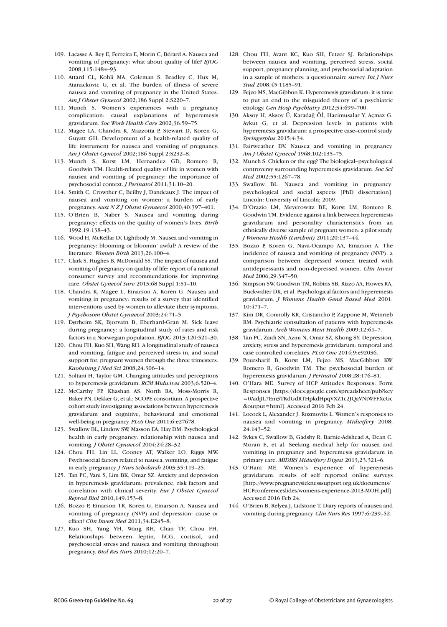- 109. Lacasse A, Rey E, Ferreira E, Morin C, Bérard A. Nausea and vomiting of pregnancy: what about quality of life? *BJOG* 2008;115:1484–93.
- 110. Attard CL, Kohli MA, Coleman S, Bradley C, Hux M, Atanackovic G, et al. The burden of illness of severe nausea and vomiting of pregnancy in the United States. *Am J Obstet Gynecol* 2002;186 Suppl 2:S220–7.
- 111. Munch S. Women's experiences with a pregnancy complication: causal explanations of hyperemesis gravidarum. *Soc Work Health Care* 2002;36:59–75.
- 112. Magee LA, Chandra K, Mazzotta P, Stewart D, Koren G, Guyatt GH. Development of a health-related quality of life instrument for nausea and vomiting of pregnancy. *Am J Obstet Gynecol* 2002;186 Suppl 2:S232–8.
- 113. Munch S, Korst LM, Hernandez GD, Romero R, Goodwin TM. Health-related quality of life in women with nausea and vomiting of pregnancy: the importance of psychosocial context. *J Perinatol* 2011;31:10–20.
- 114. Smith C, Crowther C, Beilby J, Dandeaux J. The impact of nausea and vomiting on women: a burden of early pregnancy. *Aust N Z J Obstet Gynaecol* 2000;40:397–401.
- 115. O'Brien B, Naber S. Nausea and vomiting during pregnancy: effects on the quality of women's lives. *Birth* 1992;19:138–43.
- 116. Wood H, McKellar LV, Lightbody M. Nausea and vomiting in pregnancy: blooming or bloomin' awful? A review of the literature. *Women Birth* 2013;26:100–4.
- 117. Clark S, Hughes B, McDonald SS. The impact of nausea and vomiting of pregnancy on quality of life: report of a national consumer survey and recommendations for improving care. *Obstet Gynecol Surv* 2013;68 Suppl 1:S1–10.
- 118. Chandra K, Magee L, Einarson A, Koren G. Nausea and vomiting in pregnancy: results of a survey that identified interventions used by women to alleviate their symptoms. *J Psychosom Obstet Gynaecol* 2003;24:71–5.
- 119. Dørheim SK, Bjorvatn B, Eberhard-Gran M. Sick leave during pregnancy: a longitudinal study of rates and risk factors in a Norwegian population. *BJOG* 2013;120:521–30.
- 120. Chou FH, Kuo SH, Wang RH. A longitudinal study of nausea and vomiting, fatigue and perceived stress in, and social support for, pregnant women through the three trimesters. *Kaohsiung J Med Sci* 2008;24:306–14.
- 121. Soltani H, Taylor GM. Changing attitudes and perceptions to hyperemesis gravidarum. *RCM Midwives* 2003;6:520–4.
- 122. McCarthy FP, Khashan AS, North RA, Moss-Morris R, Baker PN, Dekker G, et al.; SCOPE consortium. A prospective cohort study investigating associations between hyperemesis gravidarum and cognitive, behavioural and emotional well-being in pregnancy. *PLoS One* 2011;6:e27678.
- 123. Swallow BL, Lindow SW, Masson EA, Hay DM. Psychological health in early pregnancy: relationship with nausea and vomiting. *J Obstet Gynaecol* 2004;24:28–32.
- 124. Chou FH, Lin LL, Cooney AT, Walker LO, Riggs MW. Psychosocial factors related to nausea, vomiting, and fatigue in early pregnancy. *J Nurs Scholarsh* 2003;35:119–25.
- 125. Tan PC, Vani S, Lim BK, Omar SZ. Anxiety and depression in hyperemesis gravidarum: prevalence, risk factors and correlation with clinical severity. *Eur J Obstet Gynecol Reprod Biol* 2010;149:153–8.
- 126. Bozzo P, Einarson TR, Koren G, Einarson A. Nausea and vomiting of pregnancy (NVP) and depression: cause or effect? *Clin Invest Med* 2011;34:E245–8.
- 127. Kuo SH, Yang YH, Wang RH, Chan TF, Chou FH. Relationships between leptin, hCG, cortisol, and psychosocial stress and nausea and vomiting throughout pregnancy. *Biol Res Nurs* 2010;12:20–7.
- 128. Chou FH, Avant KC, Kuo SH, Fetzer SJ. Relationships between nausea and vomiting, perceived stress, social support, pregnancy planning, and psychosocial adaptation in a sample of mothers: a questionnaire survey. *Int J Nurs Stud* 2008;45:1185–91.
- 129. Fejzo MS, MacGibbon K. Hyperemesis gravidarum: it is time to put an end to the misguided theory of a psychiatric etiology. *Gen Hosp Psychiatry* 2012;34:699–700.
- 130. Aksoy H, Aksoy Ü, Karadağ Öİ, Hacimusalar Y, Açmaz G, Aykut G, et al. Depression levels in patients with hyperemesis gravidarum: a prospective case–control study. *Springerplus* 2015;4:34.
- 131. Fairweather DV. Nausea and vomiting in pregnancy. *Am J Obstet Gynecol* 1968;102:135–75.
- 132. Munch S. Chicken or the egg? The biological–psychological controversy surrounding hyperemesis gravidarum. *Soc Sci Med* 2002;55:1267–78.
- 133. Swallow BL. Nausea and vomiting in pregnancy: psychological and social aspects [PhD dissertation]. Lincoln: University of Lincoln; 2009.
- 134. D'Orazio LM, Meyerowitz BE, Korst LM, Romero R, Goodwin TM. Evidence against a link between hyperemesis gravidarum and personality characteristics from an ethnically diverse sample of pregnant women: a pilot study. *J Womens Health (Larchmt)* 2011;20:137–44.
- 135. Bozzo P, Koren G, Nava-Ocampo AA, Einarson A. The incidence of nausea and vomiting of pregnancy (NVP): a comparison between depressed women treated with antidepressants and non-depressed women. *Clin Invest Med* 2006;29:347–50.
- 136. Simpson SW, Goodwin TM, Robins SB, Rizzo AA, Howes RA, Buckwalter DK, et al. Psychological factors and hyperemesis gravidarum. *J Womens Health Gend Based Med* 2001; 10:471–7.
- 137. Kim DR, Connolly KR, Cristancho P, Zappone M, Weinrieb RM. Psychiatric consultation of patients with hyperemesis gravidarum. *Arch Womens Ment Health* 2009;12:61–7.
- 138. Tan PC, Zaidi SN, Azmi N, Omar SZ, Khong SY. Depression, anxiety, stress and hyperemesis gravidarum: temporal and case controlled correlates. *PLoS One* 2014;9:e92036.
- 139. Poursharif B, Korst LM, Fejzo MS, MacGibbon KW, Romero R, Goodwin TM. The psychosocial burden of hyperemesis gravidarum. *J Perinatol* 2008;28:176–81.
- 140. O'Hara ME. Survey of HCP Attitudes Responses: Form Responses [https://docs.google.com/spreadsheet/pub?key =0AidjJL7Em3TKdGdRTHpkdHpqVXZ1c2JQaVNtWFFXcGc &output=html]. Accessed 2016 Feb 24.
- 141. Locock L, Alexander J, Rozmovits L. Women's responses to nausea and vomiting in pregnancy. *Midwifery* 2008; 24:143–52.
- 142. Sykes C, Swallow B, Gadsby R, Barnie-Adshead A, Dean C, Moran E, et al. Seeking medical help for nausea and vomiting in pregnancy and hyperemesis gravidarum in primary care. *MIDIRS Midwifery Digest* 2013;23:321–6.
- 143. O'Hara ME. Women's experience of hyperemesis gravidarum: results of self reported online surveys [http://www.pregnancysicknesssupport.org.uk/documents/ HCPconferenceslides/womens-experience-2013-MOH.pdf]. Accessed 2016 Feb 24.
- 144. O'Brien B, Relyea J, Lidstone T. Diary reports of nausea and vomiting during pregnancy. *Clin Nurs Res* 1997;6:239–52.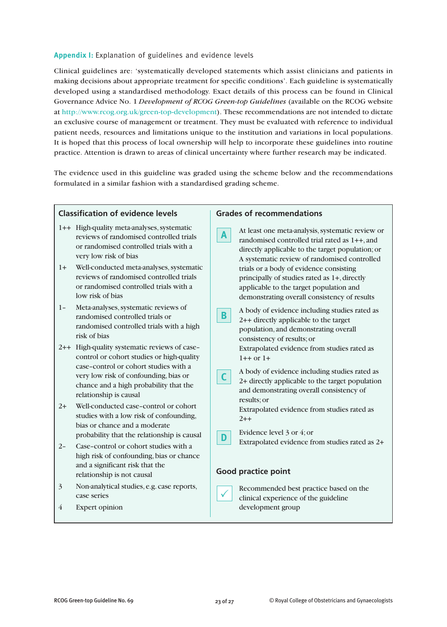# **Appendix I:** Explanation of guidelines and evidence levels

Clinical guidelines are: 'systematically developed statements which assist clinicians and patients in making decisions about appropriate treatment for specific conditions'. Each guideline is systematically developed using a standardised methodology. Exact details of this process can be found in Clinical Governance Advice No. 1 *Development of RCOG Green-top Guidelines* (available on the RCOG website at http://www.rcog.org.uk/green-top-development). These recommendations are not intended to dictate an exclusive course of management or treatment. They must be evaluated with reference to individual patient needs, resources and limitations unique to the institution and variations in local populations. It is hoped that this process of local ownership will help to incorporate these guidelines into routine practice. Attention is drawn to areas of clinical uncertainty where further research may be indicated.

The evidence used in this guideline was graded using the scheme below and the recommendations formulated in a similar fashion with a standardised grading scheme.

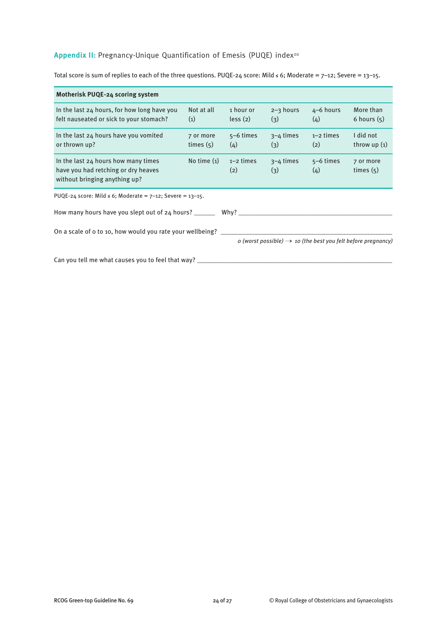# Appendix II: Pregnancy-Unique Quantification of Emesis (PUQE) index<sup>20</sup>

Total score is sum of replies to each of the three questions. PUQE-24 score: Mild ≤ 6; Moderate =  $7-12$ ; Severe =  $13-15$ .

| <b>Motherisk PUQE-24 scoring system</b>                                                                     |                          |                      |                      |                    |                                                                          |
|-------------------------------------------------------------------------------------------------------------|--------------------------|----------------------|----------------------|--------------------|--------------------------------------------------------------------------|
| In the last 24 hours, for how long have you<br>felt nauseated or sick to your stomach?                      | Not at all<br>(1)        | 1 hour or<br>less(2) | $2 - 3$ hours<br>(3) | $4-6$ hours<br>(4) | More than<br>6 hours $(5)$                                               |
| In the last 24 hours have you vomited<br>or thrown up?                                                      | 7 or more<br>times $(5)$ | $5-6$ times<br>(4)   | $3-4$ times<br>(3)   | $1-2$ times<br>(2) | I did not<br>throw $up(1)$                                               |
| In the last 24 hours how many times<br>have you had retching or dry heaves<br>without bringing anything up? | No time $(1)$            | $1-2$ times<br>(2)   | $3-4$ times<br>(3)   | $5-6$ times<br>(4) | 7 or more<br>times $(5)$                                                 |
| PUQE-24 score: Mild ≤ 6; Moderate = $7-12$ ; Severe = $13-15$ .                                             |                          |                      |                      |                    |                                                                          |
| How many hours have you slept out of 24 hours? ______<br>Why? $\overline{\phantom{0}}$                      |                          |                      |                      |                    |                                                                          |
| On a scale of o to 10, how would you rate your wellbeing?                                                   |                          |                      |                      |                    | o (worst possible) $\rightarrow$ 10 (the best you felt before pregnancy) |
| Can you tell me what causes you to feel that way?                                                           |                          |                      |                      |                    |                                                                          |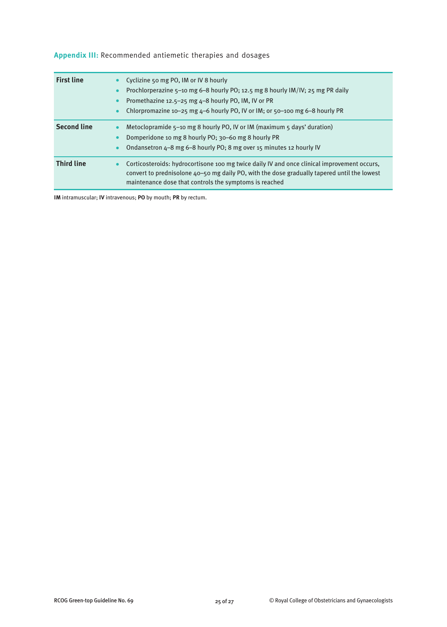| <b>First line</b>  | Cyclizine 50 mg PO, IM or IV 8 hourly<br>Prochlorperazine 5-10 mg 6-8 hourly PO; 12.5 mg 8 hourly IM/IV; 25 mg PR daily<br>Promethazine 12.5-25 mg 4-8 hourly PO, IM, IV or PR<br>Chlorpromazine 10-25 mg 4-6 hourly PO, IV or IM; or 50-100 mg 6-8 hourly PR |
|--------------------|---------------------------------------------------------------------------------------------------------------------------------------------------------------------------------------------------------------------------------------------------------------|
| <b>Second line</b> | Metoclopramide $5-10$ mg 8 hourly PO, IV or IM (maximum $5$ days' duration)<br>Domperidone 10 mg 8 hourly PO; 30–60 mg 8 hourly PR<br>Ondansetron 4-8 mg 6-8 hourly PO; 8 mg over 15 minutes 12 hourly IV                                                     |
| <b>Third line</b>  | Corticosteroids: hydrocortisone 100 mg twice daily IV and once clinical improvement occurs,<br>convert to prednisolone $40 - 50$ mg daily PO, with the dose gradually tapered until the lowest<br>maintenance dose that controls the symptoms is reached      |

**Appendix III:** Recommended antiemetic therapies and dosages

**IM** intramuscular; **IV** intravenous; **PO** by mouth; **PR** by rectum.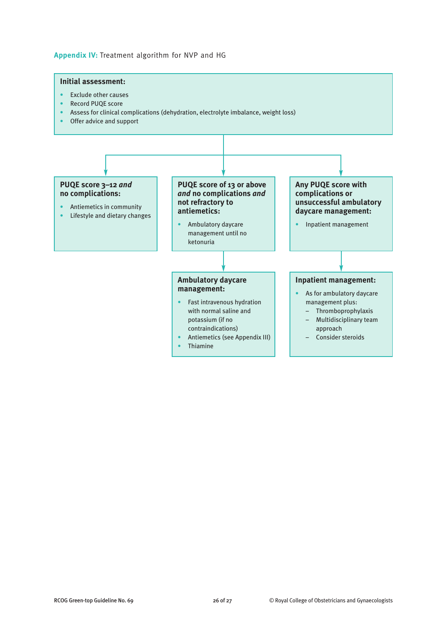# **Appendix IV:** Treatment algorithm for NVP and HG